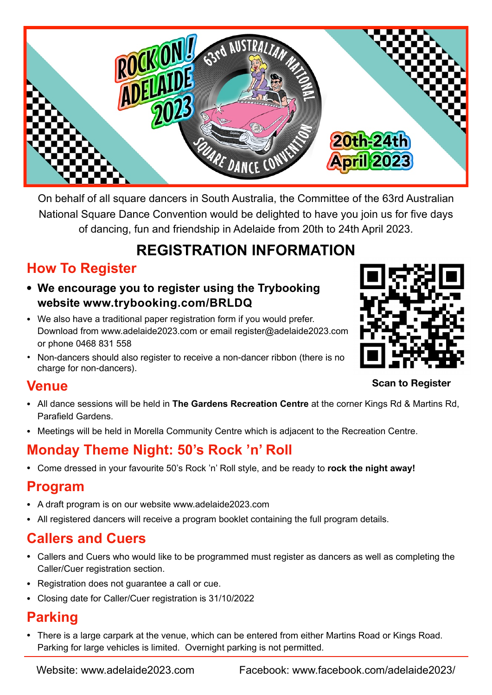

On behalf of all square dancers in South Australia, the Committee of the 63rd Australian National Square Dance Convention would be delighted to have you join us for five days of dancing, fun and friendship in Adelaide from 20th to 24th April 2023.

# **REGISTRATION INFORMATION**

### **How To Register**

- **• We encourage you to register using the Trybooking website www.trybooking.com/BRLDQ**
- We also have a traditional paper registration form if you would prefer. Download from www.adelaide2023.com or email register@adelaide2023.com or phone 0468 831 558
- Non-dancers should also register to receive a non-dancer ribbon (there is no charge for non-dancers).



**Scan to Register**

#### **Venue**

- All dance sessions will be held in **The Gardens Recreation Centre** at the corner Kings Rd & Martins Rd, Parafield Gardens.
- Meetings will be held in Morella Community Centre which is adjacent to the Recreation Centre.

# **Monday Theme Night: 50's Rock 'n' Roll**

• Come dressed in your favourite 50's Rock 'n' Roll style, and be ready to **rock the night away!**

#### **Program**

- A draft program is on our website www.adelaide2023.com
- All registered dancers will receive a program booklet containing the full program details.

### **Callers and Cuers**

- Callers and Cuers who would like to be programmed must register as dancers as well as completing the Caller/Cuer registration section.
- Registration does not guarantee a call or cue.
- Closing date for Caller/Cuer registration is 31/10/2022

#### **Parking**

• There is a large carpark at the venue, which can be entered from either Martins Road or Kings Road. Parking for large vehicles is limited. Overnight parking is not permitted.